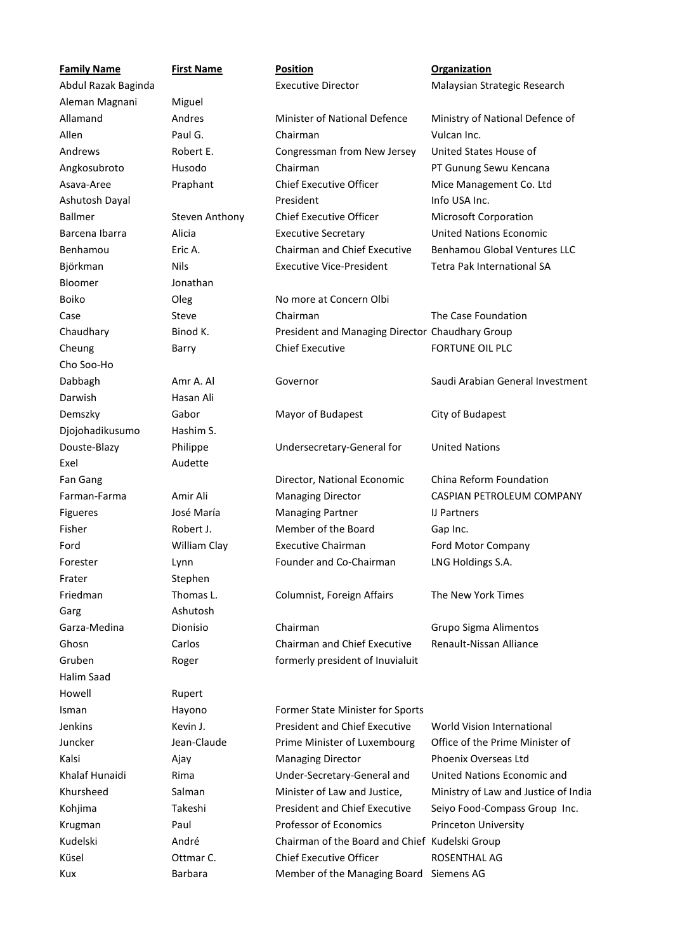| <b>Family Name</b>  | <b>First Name</b> | <b>Position</b>                                 | <b>Organization</b>                  |
|---------------------|-------------------|-------------------------------------------------|--------------------------------------|
| Abdul Razak Baginda |                   | <b>Executive Director</b>                       | Malaysian Strategic Research         |
| Aleman Magnani      | Miguel            |                                                 |                                      |
| Allamand            | Andres            | Minister of National Defence                    | Ministry of National Defence of      |
| Allen               | Paul G.           | Chairman                                        | Vulcan Inc.                          |
| Andrews             | Robert E.         | Congressman from New Jersey                     | United States House of               |
| Angkosubroto        | Husodo            | Chairman                                        | PT Gunung Sewu Kencana               |
| Asava-Aree          | Praphant          | <b>Chief Executive Officer</b>                  | Mice Management Co. Ltd              |
| Ashutosh Dayal      |                   | President                                       | Info USA Inc.                        |
| <b>Ballmer</b>      | Steven Anthony    | <b>Chief Executive Officer</b>                  | Microsoft Corporation                |
| Barcena Ibarra      | Alicia            | <b>Executive Secretary</b>                      | <b>United Nations Economic</b>       |
| Benhamou            | Eric A.           | Chairman and Chief Executive                    | <b>Benhamou Global Ventures LLC</b>  |
| Björkman            | <b>Nils</b>       | <b>Executive Vice-President</b>                 | Tetra Pak International SA           |
| Bloomer             | Jonathan          |                                                 |                                      |
| Boiko               | Oleg              | No more at Concern Olbi                         |                                      |
| Case                | Steve             | Chairman                                        | The Case Foundation                  |
| Chaudhary           | Binod K.          | President and Managing Director Chaudhary Group |                                      |
| Cheung              | Barry             | <b>Chief Executive</b>                          | FORTUNE OIL PLC                      |
| Cho Soo-Ho          |                   |                                                 |                                      |
| Dabbagh             | Amr A. Al         | Governor                                        | Saudi Arabian General Investment     |
| Darwish             | Hasan Ali         |                                                 |                                      |
| Demszky             | Gabor             | Mayor of Budapest                               | City of Budapest                     |
| Djojohadikusumo     | Hashim S.         |                                                 |                                      |
| Douste-Blazy        | Philippe          | Undersecretary-General for                      | <b>United Nations</b>                |
| Exel                | Audette           |                                                 |                                      |
| Fan Gang            |                   | Director, National Economic                     | China Reform Foundation              |
| Farman-Farma        | Amir Ali          | <b>Managing Director</b>                        | CASPIAN PETROLEUM COMPANY            |
| Figueres            | José María        | <b>Managing Partner</b>                         | IJ Partners                          |
| Fisher              | Robert J.         | Member of the Board                             | Gap Inc.                             |
| Ford                | William Clay      | <b>Executive Chairman</b>                       | Ford Motor Company                   |
| Forester            | Lynn              | Founder and Co-Chairman                         | LNG Holdings S.A.                    |
| Frater              | Stephen           |                                                 |                                      |
| Friedman            | Thomas L.         | Columnist, Foreign Affairs                      | The New York Times                   |
| Garg                | Ashutosh          |                                                 |                                      |
| Garza-Medina        | Dionisio          | Chairman                                        | Grupo Sigma Alimentos                |
| Ghosn               | Carlos            | <b>Chairman and Chief Executive</b>             | Renault-Nissan Alliance              |
| Gruben              | Roger             | formerly president of Inuvialuit                |                                      |
| <b>Halim Saad</b>   |                   |                                                 |                                      |
| Howell              | Rupert            |                                                 |                                      |
| Isman               | Hayono            | Former State Minister for Sports                |                                      |
| Jenkins             | Kevin J.          | <b>President and Chief Executive</b>            | World Vision International           |
| Juncker             | Jean-Claude       | Prime Minister of Luxembourg                    | Office of the Prime Minister of      |
| Kalsi               | Ajay              | <b>Managing Director</b>                        | Phoenix Overseas Ltd                 |
| Khalaf Hunaidi      | Rima              | Under-Secretary-General and                     | United Nations Economic and          |
| Khursheed           | Salman            | Minister of Law and Justice,                    | Ministry of Law and Justice of India |
| Kohjima             | Takeshi           | <b>President and Chief Executive</b>            | Seiyo Food-Compass Group Inc.        |
| Krugman             | Paul              | Professor of Economics                          | <b>Princeton University</b>          |
| Kudelski            | André             | Chairman of the Board and Chief Kudelski Group  |                                      |
| Küsel               | Ottmar C.         | <b>Chief Executive Officer</b>                  | <b>ROSENTHAL AG</b>                  |
| Kux                 | Barbara           | Member of the Managing Board                    | Siemens AG                           |
|                     |                   |                                                 |                                      |